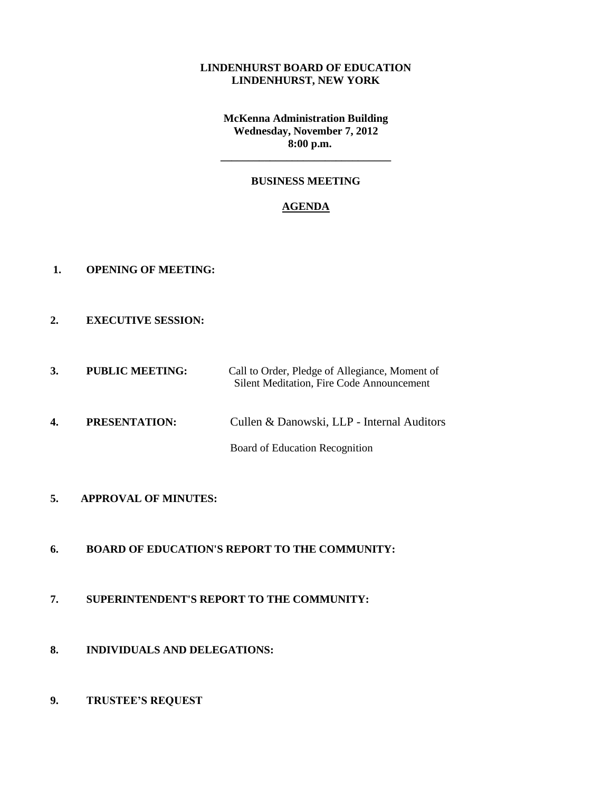#### **LINDENHURST BOARD OF EDUCATION LINDENHURST, NEW YORK**

**McKenna Administration Building Wednesday, November 7, 2012 8:00 p.m.**

# **BUSINESS MEETING**

**\_\_\_\_\_\_\_\_\_\_\_\_\_\_\_\_\_\_\_\_\_\_\_\_\_\_\_\_\_\_\_**

### **AGENDA**

- **1. OPENING OF MEETING:**
- **2. EXECUTIVE SESSION:**
- **3. PUBLIC MEETING:** Call to Order, Pledge of Allegiance, Moment of Silent Meditation, Fire Code Announcement
- **4. PRESENTATION:** Cullen & Danowski, LLP Internal Auditors

Board of Education Recognition

- **5. APPROVAL OF MINUTES:**
- **6. BOARD OF EDUCATION'S REPORT TO THE COMMUNITY:**
- **7. SUPERINTENDENT'S REPORT TO THE COMMUNITY:**
- **8. INDIVIDUALS AND DELEGATIONS:**
- **9. TRUSTEE'S REQUEST**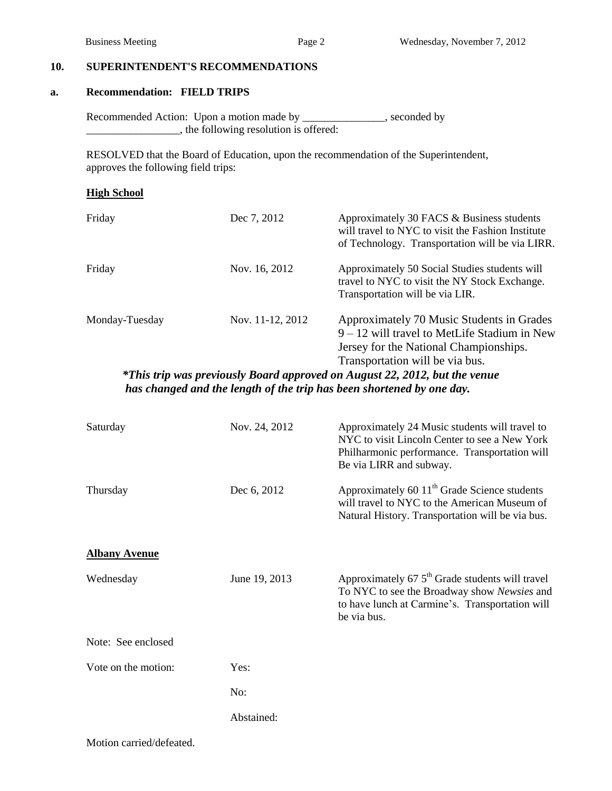## **10. SUPERINTENDENT'S RECOMMENDATIONS**

#### **a. Recommendation: FIELD TRIPS**

Recommended Action: Upon a motion made by \_\_\_\_\_\_\_\_\_\_\_\_\_, seconded by \_\_\_\_\_\_\_\_\_\_\_\_\_\_\_\_\_, the following resolution is offered:

 RESOLVED that the Board of Education, upon the recommendation of the Superintendent, approves the following field trips:

#### **High School**

| Friday         | Dec 7, 2012      | Approximately 30 FACS & Business students<br>will travel to NYC to visit the Fashion Institute<br>of Technology. Transportation will be via LIRR.                        |
|----------------|------------------|--------------------------------------------------------------------------------------------------------------------------------------------------------------------------|
| Friday         | Nov. 16, 2012    | Approximately 50 Social Studies students will<br>travel to NYC to visit the NY Stock Exchange.<br>Transportation will be via LIR.                                        |
| Monday-Tuesday | Nov. 11-12, 2012 | Approximately 70 Music Students in Grades<br>$9 - 12$ will travel to MetLife Stadium in New<br>Jersey for the National Championships.<br>Transportation will be via bus. |

*\*This trip was previously Board approved on August 22, 2012, but the venue has changed and the length of the trip has been shortened by one day.*

| Saturday             | Nov. 24, 2012 | Approximately 24 Music students will travel to<br>NYC to visit Lincoln Center to see a New York<br>Philharmonic performance. Transportation will<br>Be via LIRR and subway. |
|----------------------|---------------|-----------------------------------------------------------------------------------------------------------------------------------------------------------------------------|
| Thursday             | Dec 6, 2012   | Approximately 60 11 <sup>th</sup> Grade Science students<br>will travel to NYC to the American Museum of<br>Natural History. Transportation will be via bus.                |
| <b>Albany Avenue</b> |               |                                                                                                                                                                             |
| Wednesday            | June 19, 2013 | Approximately $67.5th$ Grade students will travel<br>To NYC to see the Broadway show Newsies and<br>to have lunch at Carmine's. Transportation will<br>be via bus.          |
| Note: See enclosed   |               |                                                                                                                                                                             |
| Vote on the motion:  | Yes:          |                                                                                                                                                                             |
|                      | No:           |                                                                                                                                                                             |
|                      | Abstained:    |                                                                                                                                                                             |

Motion carried/defeated.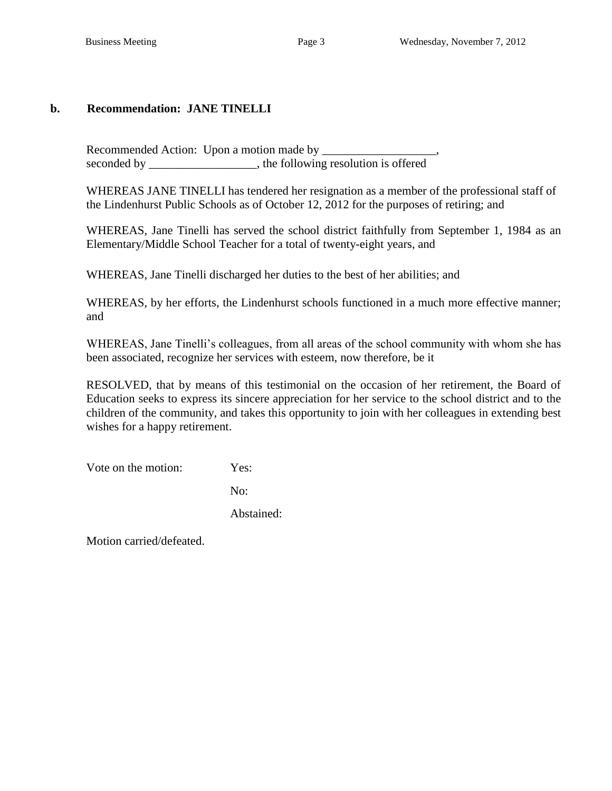# **b. Recommendation: JANE TINELLI**

Recommended Action: Upon a motion made by seconded by \_\_\_\_\_\_\_\_\_\_\_\_\_\_\_\_, the following resolution is offered

WHEREAS JANE TINELLI has tendered her resignation as a member of the professional staff of the Lindenhurst Public Schools as of October 12, 2012 for the purposes of retiring; and

WHEREAS, Jane Tinelli has served the school district faithfully from September 1, 1984 as an Elementary/Middle School Teacher for a total of twenty-eight years, and

WHEREAS, Jane Tinelli discharged her duties to the best of her abilities; and

WHEREAS, by her efforts, the Lindenhurst schools functioned in a much more effective manner; and

WHEREAS, Jane Tinelli's colleagues, from all areas of the school community with whom she has been associated, recognize her services with esteem, now therefore, be it

RESOLVED, that by means of this testimonial on the occasion of her retirement, the Board of Education seeks to express its sincere appreciation for her service to the school district and to the children of the community, and takes this opportunity to join with her colleagues in extending best wishes for a happy retirement.

Vote on the motion: Yes:

No:

Abstained:

Motion carried/defeated.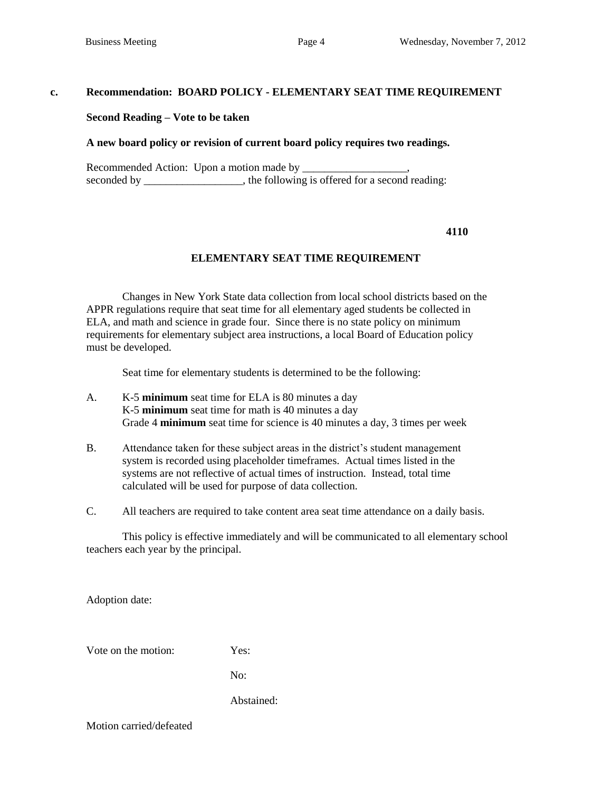#### **c. Recommendation: BOARD POLICY - ELEMENTARY SEAT TIME REQUIREMENT**

#### **Second Reading – Vote to be taken**

#### **A new board policy or revision of current board policy requires two readings.**

Recommended Action: Upon a motion made by \_\_\_\_\_\_\_\_\_\_\_\_\_\_\_\_\_\_\_, seconded by \_\_\_\_\_\_\_\_\_\_\_\_\_\_, the following is offered for a second reading:

#### **4110**

### **ELEMENTARY SEAT TIME REQUIREMENT**

Changes in New York State data collection from local school districts based on the APPR regulations require that seat time for all elementary aged students be collected in ELA, and math and science in grade four. Since there is no state policy on minimum requirements for elementary subject area instructions, a local Board of Education policy must be developed.

Seat time for elementary students is determined to be the following:

- A. K-5 **minimum** seat time for ELA is 80 minutes a day K-5 **minimum** seat time for math is 40 minutes a day Grade 4 **minimum** seat time for science is 40 minutes a day, 3 times per week
- B. Attendance taken for these subject areas in the district's student management system is recorded using placeholder timeframes. Actual times listed in the systems are not reflective of actual times of instruction. Instead, total time calculated will be used for purpose of data collection.
- C. All teachers are required to take content area seat time attendance on a daily basis.

This policy is effective immediately and will be communicated to all elementary school teachers each year by the principal.

Adoption date:

Vote on the motion: Yes:

No:

Abstained:

Motion carried/defeated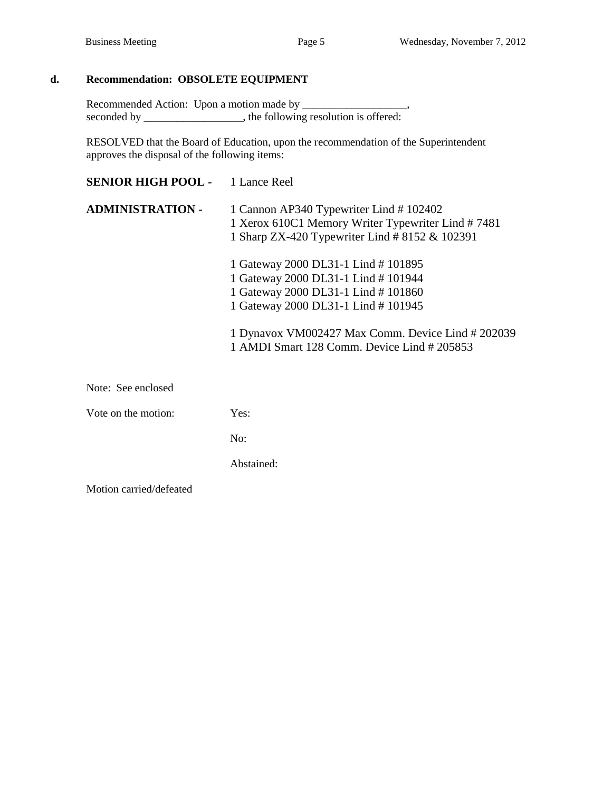# **d. Recommendation: OBSOLETE EQUIPMENT**

Recommended Action: Upon a motion made by \_\_\_\_\_\_\_\_\_\_\_\_\_\_\_\_\_\_\_, seconded by \_\_\_\_\_\_\_\_\_\_\_\_\_, the following resolution is offered:

RESOLVED that the Board of Education, upon the recommendation of the Superintendent approves the disposal of the following items:

| <b>SENIOR HIGH POOL -</b> | 1 Lance Reel                                                                                                                                                                                                                                              |  |  |
|---------------------------|-----------------------------------------------------------------------------------------------------------------------------------------------------------------------------------------------------------------------------------------------------------|--|--|
| <b>ADMINISTRATION -</b>   | 1 Cannon AP340 Typewriter Lind #102402<br>1 Xerox 610C1 Memory Writer Typewriter Lind #7481<br>1 Sharp ZX-420 Typewriter Lind # 8152 & 102391                                                                                                             |  |  |
|                           | 1 Gateway 2000 DL31-1 Lind #101895<br>1 Gateway 2000 DL31-1 Lind #101944<br>1 Gateway 2000 DL31-1 Lind #101860<br>1 Gateway 2000 DL31-1 Lind # 101945<br>1 Dynavox VM002427 Max Comm. Device Lind # 202039<br>1 AMDI Smart 128 Comm. Device Lind # 205853 |  |  |
| Note: See enclosed        |                                                                                                                                                                                                                                                           |  |  |
| Vote on the motion:       | Yes:                                                                                                                                                                                                                                                      |  |  |
|                           | No:                                                                                                                                                                                                                                                       |  |  |
|                           | Abstained:                                                                                                                                                                                                                                                |  |  |
| Motion carried/defeated   |                                                                                                                                                                                                                                                           |  |  |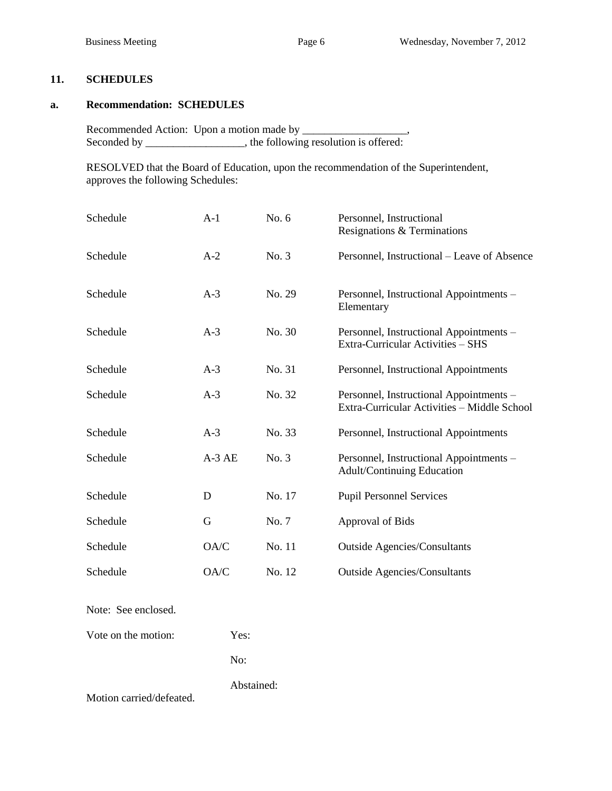# **11. SCHEDULES**

#### **a. Recommendation: SCHEDULES**

Recommended Action: Upon a motion made by \_\_\_\_\_\_\_\_\_\_\_\_\_\_\_\_\_\_\_, Seconded by \_\_\_\_\_\_\_\_\_\_\_\_, the following resolution is offered:

RESOLVED that the Board of Education, upon the recommendation of the Superintendent, approves the following Schedules:

| Schedule | A-1     | No. $6$ | Personnel, Instructional<br>Resignations & Terminations                                |
|----------|---------|---------|----------------------------------------------------------------------------------------|
| Schedule | $A-2$   | No. 3   | Personnel, Instructional – Leave of Absence                                            |
| Schedule | $A-3$   | No. 29  | Personnel, Instructional Appointments -<br>Elementary                                  |
| Schedule | $A-3$   | No. 30  | Personnel, Instructional Appointments -<br>Extra-Curricular Activities - SHS           |
| Schedule | $A-3$   | No. 31  | Personnel, Instructional Appointments                                                  |
| Schedule | $A-3$   | No. 32  | Personnel, Instructional Appointments -<br>Extra-Curricular Activities - Middle School |
| Schedule | $A-3$   | No. 33  | Personnel, Instructional Appointments                                                  |
| Schedule | $A-3AE$ | No. 3   | Personnel, Instructional Appointments -<br><b>Adult/Continuing Education</b>           |
| Schedule | D       | No. 17  | <b>Pupil Personnel Services</b>                                                        |
| Schedule | G       | No. 7   | Approval of Bids                                                                       |
| Schedule | OA/C    | No. 11  | <b>Outside Agencies/Consultants</b>                                                    |
| Schedule | OA/C    | No. 12  | <b>Outside Agencies/Consultants</b>                                                    |

Note: See enclosed.

Vote on the motion: Yes:

No:

Abstained:

Motion carried/defeated.